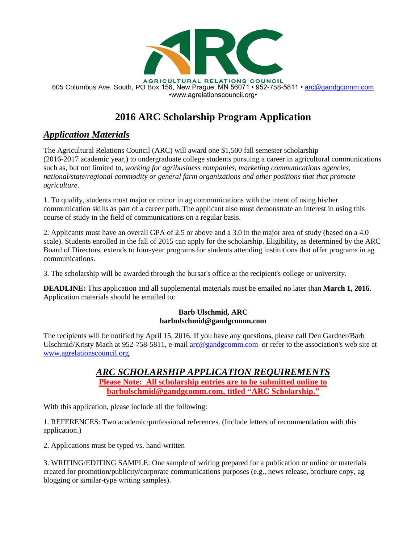

AGRICULTURAL RELATIONS COUNCIL 605 Columbus Ave. South, PO Box 156, New Prague, MN 56071 • 952-758-5811 • [arc@gandgcomm.com](mailto:arc@gandgcomm.com) •www.agrelationscouncil.org•

## **2016 ARC Scholarship Program Application**

## *Application Materials*

The Agricultural Relations Council (ARC) will award one \$1,500 fall semester scholarship (2016-2017 academic year,) to undergraduate college students pursuing a career in agricultural communications such as, but not limited to, *working for agribusiness companies, marketing communications agencies, national/state/regional commodity or general farm organizations and other positions that that promote agriculture.*

1. To qualify, students must major or minor in ag communications with the intent of using his/her communication skills as part of a career path. The applicant also must demonstrate an interest in using this course of study in the field of communications on a regular basis.

2. Applicants must have an overall GPA of 2.5 or above and a 3.0 in the major area of study (based on a 4.0 scale). Students enrolled in the fall of 2015 can apply for the scholarship. Eligibility, as determined by the ARC Board of Directors, extends to four-year programs for students attending institutions that offer programs in ag communications.

3. The scholarship will be awarded through the bursar's office at the recipient's college or university.

**DEADLINE:** This application and all supplemental materials must be emailed no later than **March 1, 2016**. Application materials should be emailed to:

## **Barb Ulschmid, ARC barbulschmid@gandgcomm.com**

The recipients will be notified by April 15, 2016. If you have any questions, please call Den Gardner/Barb Ulschmid/Kristy Mach at 952-758-5811, e-mail [arc@gandgcomm.com](mailto:arc@gandgcomm.com) or refer to the association's web site at [www.agrelationscouncil.org.](http://www.agrelationscouncil.org/)

> *ARC SCHOLARSHIP APPLICATION REQUIREMENTS* **Please Note: All scholarship entries are to be submitted online to [barbulschmid@gandgcomm.com,](mailto:barbulschmid@gandgcomm.com) titled "ARC Scholarship."**

With this application, please include all the following:

1. REFERENCES: Two academic/professional references. (Include letters of recommendation with this application.)

2. Applications must be typed vs. hand-written

3. WRITING/EDITING SAMPLE: One sample of writing prepared for a publication or online or materials created for promotion/publicity/corporate communications purposes (e.g., news release, brochure copy, ag blogging or similar-type writing samples).